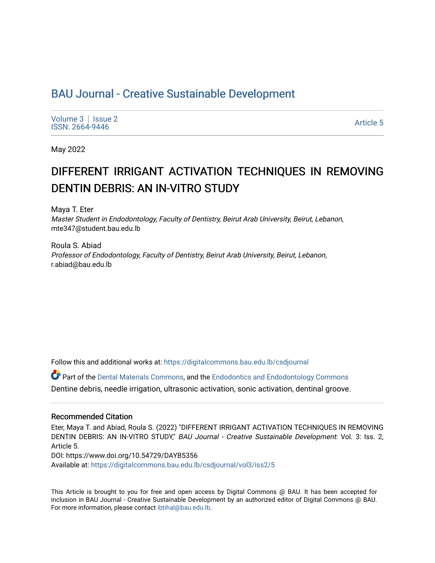# BAU Journal - Creative Sustainable Development

[Volume 3](https://digitalcommons.bau.edu.lb/csdjournal/vol3) | Issue 2 Notative Superior Contract the Superior Contract of the Superior Contract of the Superior Contract of the Superior Contract of the Superior Contract of the Superior Contract of the Superior Contract of the Superior Contrac

May 2022

# DIFFERENT IRRIGANT ACTIVATION TECHNIQUES IN REMOVING DENTIN DEBRIS: AN IN-VITRO STUDY

Maya T. Eter Master Student in Endodontology, Faculty of Dentistry, Beirut Arab University, Beirut, Lebanon, mte347@student.bau.edu.lb

Roula S. Abiad Professor of Endodontology, Faculty of Dentistry, Beirut Arab University, Beirut, Lebanon, r.abiad@bau.edu.lb

Follow this and additional works at: [https://digitalcommons.bau.edu.lb/csdjournal](https://digitalcommons.bau.edu.lb/csdjournal?utm_source=digitalcommons.bau.edu.lb%2Fcsdjournal%2Fvol3%2Fiss2%2F5&utm_medium=PDF&utm_campaign=PDFCoverPages) 

Part of the [Dental Materials Commons](https://network.bepress.com/hgg/discipline/654?utm_source=digitalcommons.bau.edu.lb%2Fcsdjournal%2Fvol3%2Fiss2%2F5&utm_medium=PDF&utm_campaign=PDFCoverPages), and the [Endodontics and Endodontology Commons](https://network.bepress.com/hgg/discipline/655?utm_source=digitalcommons.bau.edu.lb%2Fcsdjournal%2Fvol3%2Fiss2%2F5&utm_medium=PDF&utm_campaign=PDFCoverPages)  Dentine debris, needle irrigation, ultrasonic activation, sonic activation, dentinal groove.

#### Recommended Citation

Eter, Maya T. and Abiad, Roula S. (2022) "DIFFERENT IRRIGANT ACTIVATION TECHNIQUES IN REMOVING DENTIN DEBRIS: AN IN-VITRO STUDY," BAU Journal - Creative Sustainable Development: Vol. 3: Iss. 2, Article 5. DOI: https://www.doi.org/10.54729/DAYB5356 Available at: [https://digitalcommons.bau.edu.lb/csdjournal/vol3/iss2/5](https://digitalcommons.bau.edu.lb/csdjournal/vol3/iss2/5?utm_source=digitalcommons.bau.edu.lb%2Fcsdjournal%2Fvol3%2Fiss2%2F5&utm_medium=PDF&utm_campaign=PDFCoverPages) 

This Article is brought to you for free and open access by Digital Commons @ BAU. It has been accepted for inclusion in BAU Journal - Creative Sustainable Development by an authorized editor of Digital Commons @ BAU. For more information, please contact [ibtihal@bau.edu.lb.](mailto:ibtihal@bau.edu.lb)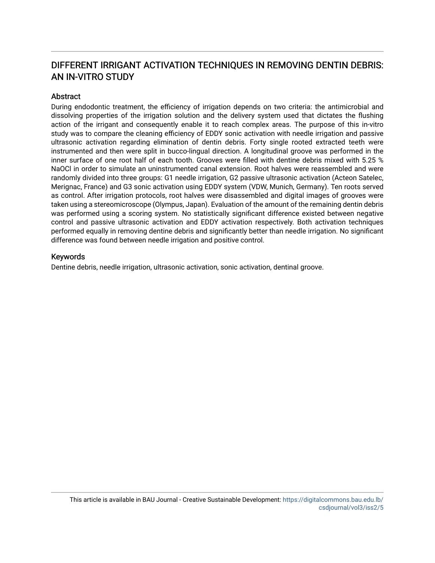# DIFFERENT IRRIGANT ACTIVATION TECHNIQUES IN REMOVING DENTIN DEBRIS: AN IN-VITRO STUDY

# **Abstract**

During endodontic treatment, the efficiency of irrigation depends on two criteria: the antimicrobial and dissolving properties of the irrigation solution and the delivery system used that dictates the flushing action of the irrigant and consequently enable it to reach complex areas. The purpose of this in-vitro study was to compare the cleaning efficiency of EDDY sonic activation with needle irrigation and passive ultrasonic activation regarding elimination of dentin debris. Forty single rooted extracted teeth were instrumented and then were split in bucco-lingual direction. A longitudinal groove was performed in the inner surface of one root half of each tooth. Grooves were filled with dentine debris mixed with 5.25 % NaOCl in order to simulate an uninstrumented canal extension. Root halves were reassembled and were randomly divided into three groups: G1 needle irrigation, G2 passive ultrasonic activation (Acteon Satelec, Merignac, France) and G3 sonic activation using EDDY system (VDW, Munich, Germany). Ten roots served as control. After irrigation protocols, root halves were disassembled and digital images of grooves were taken using a stereomicroscope (Olympus, Japan). Evaluation of the amount of the remaining dentin debris was performed using a scoring system. No statistically significant difference existed between negative control and passive ultrasonic activation and EDDY activation respectively. Both activation techniques performed equally in removing dentine debris and significantly better than needle irrigation. No significant difference was found between needle irrigation and positive control.

# Keywords

Dentine debris, needle irrigation, ultrasonic activation, sonic activation, dentinal groove.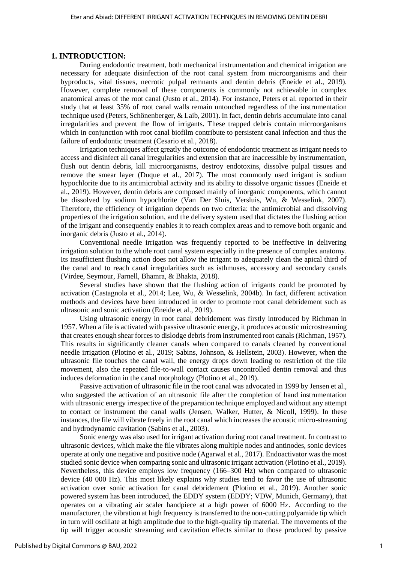### **1. INTRODUCTION:**

During endodontic treatment, both mechanical instrumentation and chemical irrigation are necessary for adequate disinfection of the root canal system from microorganisms and their byproducts, vital tissues, necrotic pulpal remnants and dentin debris (Eneide et al., 2019). However, complete removal of these components is commonly not achievable in complex anatomical areas of the root canal (Justo et al., 2014). For instance, Peters et al. reported in their study that at least 35% of root canal walls remain untouched regardless of the instrumentation technique used (Peters, Schönenberger, & Laib, 2001). In fact, dentin debris accumulate into canal irregularities and prevent the flow of irrigants. These trapped debris contain microorganisms which in conjunction with root canal biofilm contribute to persistent canal infection and thus the failure of endodontic treatment (Cesario et al., 2018).

Irrigation techniques affect greatly the outcome of endodontic treatment as irrigant needs to access and disinfect all canal irregularities and extension that are inaccessible by instrumentation, flush out dentin debris, kill microorganisms, destroy endotoxins, dissolve pulpal tissues and remove the smear layer (Duque et al., 2017). The most commonly used irrigant is sodium hypochlorite due to its antimicrobial activity and its ability to dissolve organic tissues (Eneide et al., 2019). However, dentin debris are composed mainly of inorganic components, which cannot be dissolved by sodium hypochlorite (Van Der Sluis, Versluis, Wu, & Wesselink, 2007). Therefore, the efficiency of irrigation depends on two criteria: the antimicrobial and dissolving properties of the irrigation solution, and the delivery system used that dictates the flushing action of the irrigant and consequently enables it to reach complex areas and to remove both organic and inorganic debris (Justo et al., 2014).

Conventional needle irrigation was frequently reported to be ineffective in delivering irrigation solution to the whole root canal system especially in the presence of complex anatomy. Its insufficient flushing action does not allow the irrigant to adequately clean the apical third of the canal and to reach canal irregularities such as isthmuses, accessory and secondary canals (Virdee, Seymour, Farnell, Bhamra, & Bhakta, 2018).

Several studies have shown that the flushing action of irrigants could be promoted by activation (Castagnola et al., 2014; Lee, Wu, & Wesselink, 2004b). In fact, different activation methods and devices have been introduced in order to promote root canal debridement such as ultrasonic and sonic activation (Eneide et al., 2019).

Using ultrasonic energy in root canal debridement was firstly introduced by Richman in 1957. When a file is activated with passive ultrasonic energy, it produces acoustic microstreaming that creates enough shear forces to dislodge debris from instrumented root canals (Richman, 1957). This results in significantly cleaner canals when compared to canals cleaned by conventional needle irrigation (Plotino et al., 2019; Sabins, Johnson, & Hellstein, 2003). However, when the ultrasonic file touches the canal wall, the energy drops down leading to restriction of the file movement, also the repeated file-to-wall contact causes uncontrolled dentin removal and thus induces deformation in the canal morphology (Plotino et al., 2019).

Passive activation of ultrasonic file in the root canal was advocated in 1999 by Jensen et al., who suggested the activation of an ultrasonic file after the completion of hand instrumentation with ultrasonic energy irrespective of the preparation technique employed and without any attempt to contact or instrument the canal walls (Jensen, Walker, Hutter, & Nicoll, 1999). In these instances, the file will vibrate freely in the root canal which increases the acoustic micro-streaming and hydrodynamic cavitation (Sabins et al., 2003).

Sonic energy was also used for irrigant activation during root canal treatment. In contrast to ultrasonic devices, which make the file vibrates along multiple nodes and antinodes, sonic devices operate at only one negative and positive node (Agarwal et al., 2017). Endoactivator was the most studied sonic device when comparing sonic and ultrasonic irrigant activation (Plotino et al., 2019). Nevertheless, this device employs low frequency (166–300 Hz) when compared to ultrasonic device (40 000 Hz). This most likely explains why studies tend to favor the use of ultrasonic activation over sonic activation for canal debridement (Plotino et al., 2019). Another sonic powered system has been introduced, the EDDY system (EDDY; VDW, Munich, Germany), that operates on a vibrating air scaler handpiece at a high power of 6000 Hz. According to the manufacturer, the vibration at high frequency is transferred to the non-cutting polyamide tip which in turn will oscillate at high amplitude due to the high-quality tip material. The movements of the tip will trigger acoustic streaming and cavitation effects similar to those produced by passive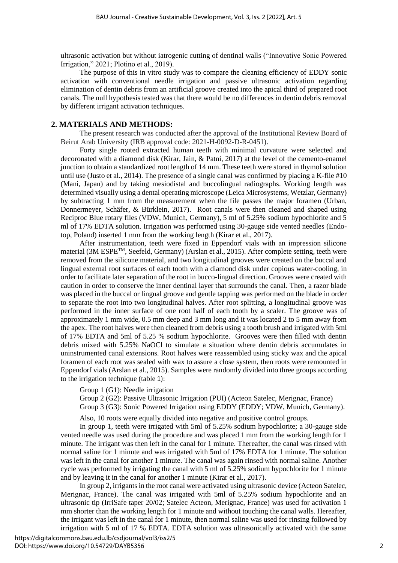ultrasonic activation but without iatrogenic cutting of dentinal walls ("Innovative Sonic Powered Irrigation," 2021; Plotino et al., 2019).

The purpose of this in vitro study was to compare the cleaning efficiency of EDDY sonic activation with conventional needle irrigation and passive ultrasonic activation regarding elimination of dentin debris from an artificial groove created into the apical third of prepared root canals. The null hypothesis tested was that there would be no differences in dentin debris removal by different irrigant activation techniques.

# **2. MATERIALS AND METHODS:**

The present research was conducted after the approval of the Institutional Review Board of Beirut Arab University (IRB approval code: 2021-H-0092-D-R-0451).

Forty single rooted extracted human teeth with minimal curvature were selected and decoronated with a diamond disk (Kirar, Jain, & Patni, 2017) at the level of the cemento-enamel junction to obtain a standardized root length of 14 mm. These teeth were stored in thymol solution until use (Justo et al., 2014). The presence of a single canal was confirmed by placing a K-file #10 (Mani, Japan) and by taking mesiodistal and buccolingual radiographs. Working length was determined visually using a dental operating microscope (Leica Microsystems, Wetzlar, Germany) by subtracting 1 mm from the measurement when the file passes the major foramen (Urban, Donnermeyer, Schäfer, & Bürklein, 2017). Root canals were then cleaned and shaped using Reciproc Blue rotary files (VDW, Munich, Germany), 5 ml of 5.25% sodium hypochlorite and 5 ml of 17% EDTA solution. Irrigation was performed using 30-gauge side vented needles (Endotop, Poland) inserted 1 mm from the working length (Kirar et al., 2017).

After instrumentation, teeth were fixed in Eppendorf vials with an impression silicone material (3M ESPE<sup>TM</sup>, Seefeld, Germany) (Arslan et al., 2015). After complete setting, teeth were removed from the silicone material, and two longitudinal grooves were created on the buccal and lingual external root surfaces of each tooth with a diamond disk under copious water-cooling, in order to facilitate later separation of the root in bucco-lingual direction. Grooves were created with caution in order to conserve the inner dentinal layer that surrounds the canal. Then, a razor blade was placed in the buccal or lingual groove and gentle tapping was performed on the blade in order to separate the root into two longitudinal halves. After root splitting, a longitudinal groove was performed in the inner surface of one root half of each tooth by a scaler. The groove was of approximately 1 mm wide, 0.5 mm deep and 3 mm long and it was located 2 to 5 mm away from the apex. The root halves were then cleaned from debris using a tooth brush and irrigated with 5ml of 17% EDTA and 5ml of 5.25 % sodium hypochlorite. Grooves were then filled with dentin debris mixed with 5.25% NaOCl to simulate a situation where dentin debris accumulates in uninstrumented canal extensions. Root halves were reassembled using sticky wax and the apical foramen of each root was sealed with wax to assure a close system, then roots were remounted in Eppendorf vials (Arslan et al., 2015). Samples were randomly divided into three groups according to the irrigation technique (table 1):

Group 1 (G1): Needle irrigation

Group 2 (G2): Passive Ultrasonic Irrigation (PUI) (Acteon Satelec, Merignac, France)

Group 3 (G3): Sonic Powered Irrigation using EDDY (EDDY; VDW, Munich, Germany).

Also, 10 roots were equally divided into negative and positive control groups.

In group 1, teeth were irrigated with 5ml of 5.25% sodium hypochlorite; a 30-gauge side vented needle was used during the procedure and was placed 1 mm from the working length for 1 minute. The irrigant was then left in the canal for 1 minute. Thereafter, the canal was rinsed with normal saline for 1 minute and was irrigated with 5ml of 17% EDTA for 1 minute. The solution was left in the canal for another 1 minute. The canal was again rinsed with normal saline. Another cycle was performed by irrigating the canal with 5 ml of 5.25% sodium hypochlorite for 1 minute and by leaving it in the canal for another 1 minute (Kirar et al., 2017).

In group 2, irrigants in the root canal were activated using ultrasonic device (Acteon Satelec, Merignac, France). The canal was irrigated with 5ml of 5.25% sodium hypochlorite and an ultrasonic tip (IrriSafe taper 20/02; Satelec Acteon, Merignac, France) was used for activation 1 mm shorter than the working length for 1 minute and without touching the canal walls. Hereafter, the irrigant was left in the canal for 1 minute, then normal saline was used for rinsing followed by irrigation with 5 ml of 17 % EDTA. EDTA solution was ultrasonically activated with the same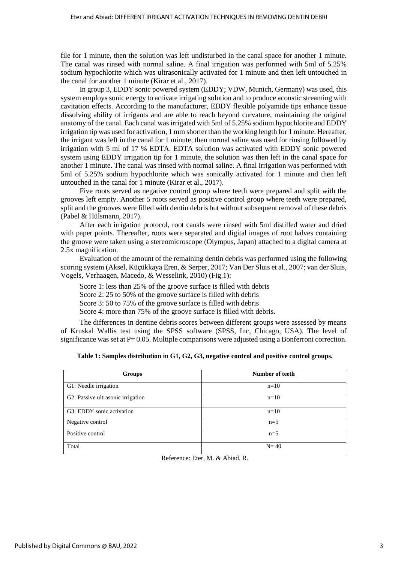file for 1 minute, then the solution was left undisturbed in the canal space for another 1 minute. The canal was rinsed with normal saline. A final irrigation was performed with 5ml of 5.25% sodium hypochlorite which was ultrasonically activated for 1 minute and then left untouched in the canal for another 1 minute (Kirar et al., 2017).

In group 3, EDDY sonic powered system (EDDY; VDW, Munich, Germany) was used, this system employs sonic energy to activate irrigating solution and to produce acoustic streaming with cavitation effects. According to the manufacturer, EDDY flexible polyamide tips enhance tissue dissolving ability of irrigants and are able to reach beyond curvature, maintaining the original anatomy of the canal. Each canal was irrigated with 5ml of 5.25% sodium hypochlorite and EDDY irrigation tip was used for activation, 1 mm shorter than the working length for 1 minute. Hereafter, the irrigant was left in the canal for 1 minute, then normal saline was used for rinsing followed by irrigation with 5 ml of 17 % EDTA. EDTA solution was activated with EDDY sonic powered system using EDDY irrigation tip for 1 minute, the solution was then left in the canal space for another 1 minute. The canal was rinsed with normal saline. A final irrigation was performed with 5ml of 5.25% sodium hypochlorite which was sonically activated for 1 minute and then left untouched in the canal for 1 minute (Kirar et al., 2017).

Five roots served as negative control group where teeth were prepared and split with the grooves left empty. Another 5 roots served as positive control group where teeth were prepared, split and the grooves were filled with dentin debris but without subsequent removal of these debris (Pabel & Hülsmann, 2017).

After each irrigation protocol, root canals were rinsed with 5ml distilled water and dried with paper points. Thereafter, roots were separated and digital images of root halves containing the groove were taken using a stereomicroscope (Olympus, Japan) attached to a digital camera at 2.5x magnification.

Evaluation of the amount of the remaining dentin debris was performed using the following scoring system (Aksel, Küçükkaya Eren, & Serper, 2017; Van Der Sluis et al., 2007; van der Sluis, Vogels, Verhaagen, Macedo, & Wesselink, 2010) [\(Fig.1\)](#page-5-0):

Score 1: less than 25% of the groove surface is filled with debris

Score 2: 25 to 50% of the groove surface is filled with debris

Score 3: 50 to 75% of the groove surface is filled with debris

Score 4: more than 75% of the groove surface is filled with debris.

The differences in dentine debris scores between different groups were assessed by means of Kruskal Wallis test using the SPSS software (SPSS, Inc, Chicago, USA). The level of significance was set at  $P= 0.05$ . Multiple comparisons were adjusted using a Bonferroni correction.

#### **Table 1: Samples distribution in G1, G2, G3, negative control and positive control groups.**

| Groups                            | Number of teeth |
|-----------------------------------|-----------------|
| G1: Needle irrigation             | $n=10$          |
| G2: Passive ultrasonic irrigation | $n=10$          |
| G3: EDDY sonic activation         | $n=10$          |
| Negative control                  | $n=5$           |
| Positive control                  | $n=5$           |
| Total                             | $N=40$          |

Reference: Eter, M. & Abiad, R.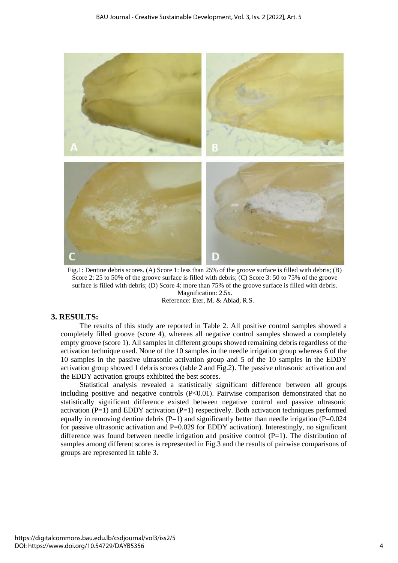

<span id="page-5-0"></span>Fig.1: Dentine debris scores. (A) Score 1: less than 25% of the groove surface is filled with debris; (B) Score 2: 25 to 50% of the groove surface is filled with debris; (C) Score 3: 50 to 75% of the groove surface is filled with debris; (D) Score 4: more than 75% of the groove surface is filled with debris. Magnification: 2.5x.

# Reference: Eter, M. & Abiad, R.S.

## **3. RESULTS:**

The results of this study are reported in Table 2. All positive control samples showed a completely filled groove (score 4), whereas all negative control samples showed a completely empty groove (score 1). All samples in different groups showed remaining debris regardless of the activation technique used. None of the 10 samples in the needle irrigation group whereas 6 of the 10 samples in the passive ultrasonic activation group and 5 of the 10 samples in the EDDY activation group showed 1 debris scores (table 2 and [Fig.2\)](#page-6-0). The passive ultrasonic activation and the EDDY activation groups exhibited the best scores.

Statistical analysis revealed a statistically significant difference between all groups including positive and negative controls  $(P<0.01)$ . Pairwise comparison demonstrated that no statistically significant difference existed between negative control and passive ultrasonic activation  $(P=1)$  and EDDY activation  $(P=1)$  respectively. Both activation techniques performed equally in removing dentine debris  $(P=1)$  and significantly better than needle irrigation  $(P=0.024)$ for passive ultrasonic activation and P=0.029 for EDDY activation). Interestingly, no significant difference was found between needle irrigation and positive control  $(P=1)$ . The distribution of samples among different scores is represented in Fig.3 and the results of pairwise comparisons of groups are represented in table 3.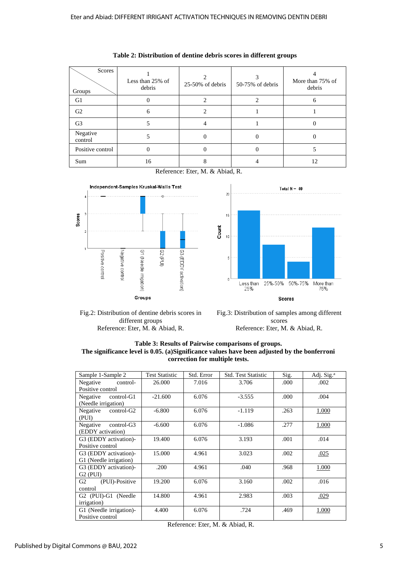| Scores<br>Groups    | Less than 25% of<br>debris | $25-50\%$ of debris | 50-75% of debris | More than 75% of<br>debris |  |
|---------------------|----------------------------|---------------------|------------------|----------------------------|--|
| G1                  |                            |                     |                  |                            |  |
| G <sub>2</sub>      | 6                          | 2                   |                  |                            |  |
| G <sub>3</sub>      | 5                          | 4                   |                  |                            |  |
| Negative<br>control |                            |                     |                  |                            |  |
| Positive control    |                            |                     |                  |                            |  |
| Sum                 | 16                         |                     |                  | 12                         |  |

**Table 2: Distribution of dentine debris scores in different groups**

Reference: Eter, M. & Abiad, R.

 $20$ 

 $15$ 

 $\overline{5}$ 

 $\sqrt{2}$ 

Count  $10$ 



<span id="page-6-0"></span>

Less than 25%-50%<br>25% More than<br>75% Scores Fig.3: Distribution of samples among different scores

50%-75%

Total  $N = 40$ 

Reference: Eter, M. & Abiad, R.

**Table 3: Results of Pairwise comparisons of groups. The significance level is 0.05. (a)Significance values have been adjusted by the bonferroni correction for multiple tests.**

| Sample 1-Sample 2                           | <b>Test Statistic</b> | Std. Error | <b>Std. Test Statistic</b> | Sig.  | Adj. Sig. <sup>a</sup> |
|---------------------------------------------|-----------------------|------------|----------------------------|-------|------------------------|
| Negative<br>control-                        | 26.000                | 7.016      | 3.706                      | .000  | .002                   |
| Positive control                            |                       |            |                            |       |                        |
| Negative<br>control-G1                      | $-21.600$             | 6.076      | $-3.555$                   | .000. | .004                   |
| (Needle irrigation)                         |                       |            |                            |       |                        |
| Negative control-G2                         | $-6.800$              | 6.076      | $-1.119$                   | .263  | 1.000                  |
| (PUI)                                       |                       |            |                            |       |                        |
| Negative<br>control-G3                      | $-6.600$              | 6.076      | $-1.086$                   | .277  | 1.000                  |
| (EDDY activation)                           |                       |            |                            |       |                        |
| G3 (EDDY activation)-                       | 19.400                | 6.076      | 3.193                      | .001  | .014                   |
| Positive control                            |                       |            |                            |       |                        |
| G3 (EDDY activation)-                       | 15.000                | 4.961      | 3.023                      | .002  | .025                   |
| G1 (Needle irrigation)                      |                       |            |                            |       |                        |
| G3 (EDDY activation)-                       | .200                  | 4.961      | .040                       | .968  | 1.000                  |
| $G2$ (PUI)                                  |                       |            |                            |       |                        |
| (PUI)-Positive<br>G <sub>2</sub>            | 19.200                | 6.076      | 3.160                      | .002  | .016                   |
| control                                     |                       |            |                            |       |                        |
| G <sub>2</sub> (PUI)-G <sub>1</sub> (Needle | 14.800                | 4.961      | 2.983                      | .003  | .029                   |
| <i>irrigation</i> )                         |                       |            |                            |       |                        |
| G1 (Needle irrigation)-                     | 4.400                 | 6.076      | .724                       | .469  | 1.000                  |
| Positive control                            |                       |            |                            |       |                        |

Reference: Eter, M. & Abiad, R.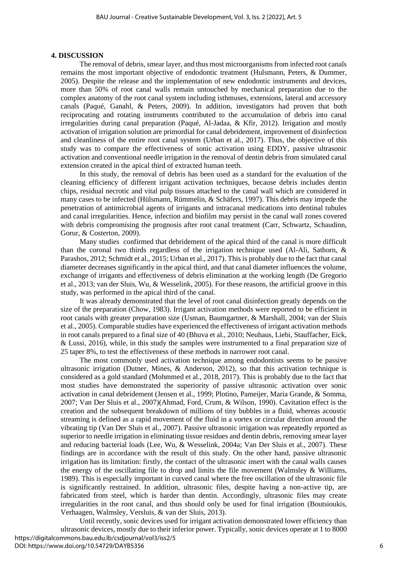#### **4. DISCUSSION**

The removal of debris, smear layer, and thus most microorganisms from infected root canals remains the most important objective of endodontic treatment (Hulsmann, Peters, & Dummer, 2005). Despite the release and the implementation of new endodontic instruments and devices, more than 50% of root canal walls remain untouched by mechanical preparation due to the complex anatomy of the root canal system including isthmuses, extensions, lateral and accessory canals (Paqué, Ganahl, & Peters, 2009). In addition, investigators had proven that both reciprocating and rotating instruments contributed to the accumulation of debris into canal irregularities during canal preparation (Paqué, Al-Jadaa, & Kfir, 2012). Irrigation and mostly activation of irrigation solution are primordial for canal debridement, improvement of disinfection and cleanliness of the entire root canal system (Urban et al., 2017). Thus, the objective of this study was to compare the effectiveness of sonic activation using EDDY, passive ultrasonic activation and conventional needle irrigation in the removal of dentin debris from simulated canal extension created in the apical third of extracted human teeth.

In this study, the removal of debris has been used as a standard for the evaluation of the cleaning efficiency of different irrigant activation techniques, because debris includes dentin chips, residual necrotic and vital pulp tissues attached to the canal wall which are considered in many cases to be infected (Hülsmann, Rümmelin, & Schäfers, 1997). This debris may impede the penetration of antimicrobial agents of irrigants and intracanal medications into dentinal tubules and canal irregularities. Hence, infection and biofilm may persist in the canal wall zones covered with debris compromising the prognosis after root canal treatment (Carr, Schwartz, Schaudinn, Gorur, & Costerton, 2009).

Many studies confirmed that debridement of the apical third of the canal is more difficult than the coronal two thirds regardless of the irrigation technique used (Al-Ali, Sathorn, & Parashos, 2012; Schmidt et al., 2015; Urban et al., 2017). This is probably due to the fact that canal diameter decreases significantly in the apical third, and that canal diameter influences the volume, exchange of irrigants and effectiveness of debris elimination at the working length (De Gregorio et al., 2013; van der Sluis, Wu, & Wesselink, 2005). For these reasons, the artificial groove in this study, was performed in the apical third of the canal.

It was already demonstrated that the level of root canal disinfection greatly depends on the size of the preparation (Chow, 1983). Irrigant activation methods were reported to be efficient in root canals with greater preparation size (Usman, Baumgartner, & Marshall, 2004; van der Sluis et al., 2005). Comparable studies have experienced the effectiveness of irrigant activation methods in root canals prepared to a final size of 40 (Bhuva et al., 2010; Neuhaus, Liebi, Stauffacher, Eick, & Lussi, 2016), while, in this study the samples were instrumented to a final preparation size of 25 taper 8%, to test the effectiveness of these methods in narrower root canal.

The most commonly used activation technique among endodontists seems to be passive ultrasonic irrigation (Dutner, Mines, & Anderson, 2012), so that this activation technique is considered as a gold standard (Mohmmed et al., 2018, 2017). This is probably due to the fact that most studies have demonstrated the superiority of passive ultrasonic activation over sonic activation in canal debridement (Jensen et al., 1999; Plotino, Pameijer, Maria Grande, & Somma, 2007; Van Der Sluis et al., 2007)(Ahmad, Ford, Crum, & Wilson, 1990). Cavitation effect is the creation and the subsequent breakdown of millions of tiny bubbles in a fluid, whereas acoustic streaming is defined as a rapid movement of the fluid in a vortex or circular direction around the vibrating tip (Van Der Sluis et al., 2007). Passive ultrasonic irrigation was repeatedly reported as superior to needle irrigation in eliminating tissue residues and dentin debris, removing smear layer and reducing bacterial loads (Lee, Wu, & Wesselink, 2004a; Van Der Sluis et al., 2007). These findings are in accordance with the result of this study. On the other hand, passive ultrasonic irrigation has its limitation: firstly, the contact of the ultrasonic insert with the canal walls causes the energy of the oscillating file to drop and limits the file movement (Walmsley  $\&$  Williams, 1989). This is especially important in curved canal where the free oscillation of the ultrasonic file is significantly restrained. In addition, ultrasonic files, despite having a non-active tip, are fabricated from steel, which is harder than dentin. Accordingly, ultrasonic files may create irregularities in the root canal, and thus should only be used for final irrigation (Boutsioukis, Verhaagen, Walmsley, Versluis, & van der Sluis, 2013).

Until recently, sonic devices used for irrigant activation demonstrated lower efficiency than ultrasonic devices, mostly due to their inferior power. Typically, sonic devices operate at 1 to 8000 https://digitalcommons.bau.edu.lb/csdjournal/vol3/iss2/5 DOI: https://www.doi.org/10.54729/DAYB5356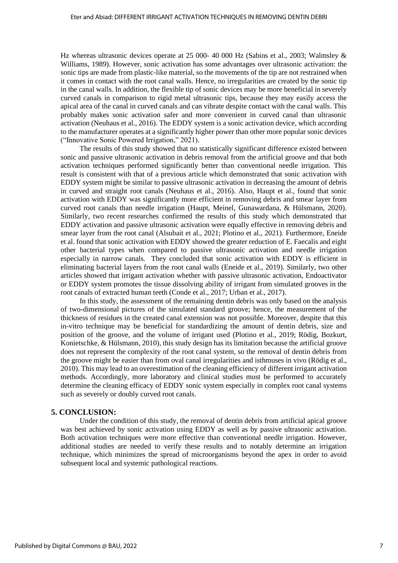Hz whereas ultrasonic devices operate at 25 000- 40 000 Hz (Sabins et al., 2003; Walmsley & Williams, 1989). However, sonic activation has some advantages over ultrasonic activation: the sonic tips are made from plastic-like material, so the movements of the tip are not restrained when it comes in contact with the root canal walls. Hence, no irregularities are created by the sonic tip in the canal walls. In addition, the flexible tip of sonic devices may be more beneficial in severely curved canals in comparison to rigid metal ultrasonic tips, because they may easily access the apical area of the canal in curved canals and can vibrate despite contact with the canal walls. This probably makes sonic activation safer and more convenient in curved canal than ultrasonic activation (Neuhaus et al., 2016). The EDDY system is a sonic activation device, which according to the manufacturer operates at a significantly higher power than other more popular sonic devices ("Innovative Sonic Powered Irrigation," 2021).

The results of this study showed that no statistically significant difference existed between sonic and passive ultrasonic activation in debris removal from the artificial groove and that both activation techniques performed significantly better than conventional needle irrigation. This result is consistent with that of a previous article which demonstrated that sonic activation with EDDY system might be similar to passive ultrasonic activation in decreasing the amount of debris in curved and straight root canals (Neuhaus et al., 2016). Also, Haupt et al., found that sonic activation with EDDY was significantly more efficient in removing debris and smear layer from curved root canals than needle irrigation (Haupt, Meinel, Gunawardana, & Hülsmann, 2020). Similarly, two recent researches confirmed the results of this study which demonstrated that EDDY activation and passive ultrasonic activation were equally effective in removing debris and smear layer from the root canal (Alsubait et al., 2021; Plotino et al., 2021). Furthermore, Eneide et al. found that sonic activation with EDDY showed the greater reduction of E. Faecalis and eight other bacterial types when compared to passive ultrasonic activation and needle irrigation especially in narrow canals. They concluded that sonic activation with EDDY is efficient in eliminating bacterial layers from the root canal walls (Eneide et al., 2019). Similarly, two other articles showed that irrigant activation whether with passive ultrasonic activation, Endoactivator or EDDY system promotes the tissue dissolving ability of irrigant from simulated grooves in the root canals of extracted human teeth (Conde et al., 2017; Urban et al., 2017).

In this study, the assessment of the remaining dentin debris was only based on the analysis of two-dimensional pictures of the simulated standard groove; hence, the measurement of the thickness of residues in the created canal extension was not possible. Moreover, despite that this in-vitro technique may be beneficial for standardizing the amount of dentin debris, size and position of the groove, and the volume of irrigant used (Plotino et al., 2019; Rödig, Bozkurt, Konietschke, & Hülsmann, 2010), this study design has its limitation because the artificial groove does not represent the complexity of the root canal system, so the removal of dentin debris from the groove might be easier than from oval canal irregularities and isthmuses in vivo (Rödig et al., 2010). This may lead to an overestimation of the cleaning efficiency of different irrigant activation methods. Accordingly, more laboratory and clinical studies must be performed to accurately determine the cleaning efficacy of EDDY sonic system especially in complex root canal systems such as severely or doubly curved root canals.

### **5. CONCLUSION:**

Under the condition of this study, the removal of dentin debris from artificial apical groove was best achieved by sonic activation using EDDY as well as by passive ultrasonic activation. Both activation techniques were more effective than conventional needle irrigation. However, additional studies are needed to verify these results and to notably determine an irrigation technique, which minimizes the spread of microorganisms beyond the apex in order to avoid subsequent local and systemic pathological reactions.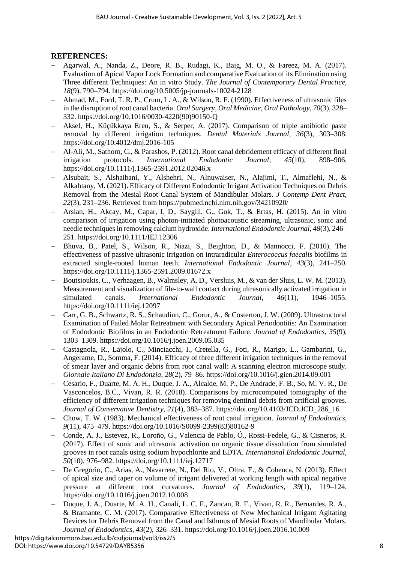# **REFERENCES:**

- − Agarwal, A., Nanda, Z., Deore, R. B., Rudagi, K., Baig, M. O., & Fareez, M. A. (2017). Evaluation of Apical Vapor Lock Formation and comparative Evaluation of its Elimination using Three different Techniques: An in vitro Study. *The Journal of Contemporary Dental Practice*, *18*(9), 790–794. https://doi.org/10.5005/jp-journals-10024-2128
- − Ahmad, M., Ford, T. R. P., Crum, L. A., & Wilson, R. F. (1990). Effectiveness of ultrasonic files in the disruption of root canal bacteria. *Oral Surgery, Oral Medicine, Oral Pathology*, *70*(3), 328– 332. https://doi.org/10.1016/0030-4220(90)90150-Q
- − Aksel, H., Küçükkaya Eren, S., & Serper, A. (2017). Comparison of triple antibiotic paste removal by different irrigation techniques. *Dental Materials Journal*, *36*(3), 303–308. https://doi.org/10.4012/dmj.2016-105
- − Al-Ali, M., Sathorn, C., & Parashos, P. (2012). Root canal debridement efficacy of different final irrigation protocols. *International Endodontic Journal*, *45*(10), 898–906. https://doi.org/10.1111/j.1365-2591.2012.02046.x
- − Alsubait, S., Alshaibani, Y., Alshehri, N., Alnuwaiser, N., Alajimi, T., Almaflehi, N., & Alkahtany, M. (2021). Efficacy of Different Endodontic Irrigant Activation Techniques on Debris Removal from the Mesial Root Canal System of Mandibular Molars. *J Contemp Dent Pract*, *22*(3), 231–236. Retrieved from https://pubmed.ncbi.nlm.nih.gov/34210920/
- − Arslan, H., Akcay, M., Capar, I. D., Saygili, G., Gok, T., & Ertas, H. (2015). An in vitro comparison of irrigation using photon-initiated photoacoustic streaming, ultrasonic, sonic and needle techniques in removing calcium hydroxide. *International Endodontic Journal*, *48*(3), 246– 251. https://doi.org/10.1111/IEJ.12306
- Bhuva, B., Patel, S., Wilson, R., Niazi, S., Beighton, D., & Mannocci, F. (2010). The effectiveness of passive ultrasonic irrigation on intraradicular *Enterococcus faecalis* biofilms in extracted single-rooted human teeth. *International Endodontic Journal*, *43*(3), 241–250. https://doi.org/10.1111/j.1365-2591.2009.01672.x
- − Boutsioukis, C., Verhaagen, B., Walmsley, A. D., Versluis, M., & van der Sluis, L. W. M. (2013). Measurement and visualization of file-to-wall contact during ultrasonically activated irrigation in simulated canals. *International Endodontic Journal*, *46*(11), 1046–1055. https://doi.org/10.1111/iej.12097
- − Carr, G. B., Schwartz, R. S., Schaudinn, C., Gorur, A., & Costerton, J. W. (2009). Ultrastructural Examination of Failed Molar Retreatment with Secondary Apical Periodontitis: An Examination of Endodontic Biofilms in an Endodontic Retreatment Failure. *Journal of Endodontics*, *35*(9), 1303–1309. https://doi.org/10.1016/j.joen.2009.05.035
- − Castagnola, R., Lajolo, C., Minciacchi, I., Cretella, G., Foti, R., Marigo, L., Gambarini, G., Angerame, D., Somma, F. (2014). Efficacy of three different irrigation techniques in the removal of smear layer and organic debris from root canal wall: A scanning electron microscope study. *Giornale Italiano Di Endodonzia*, *28*(2), 79–86. https://doi.org/10.1016/j.gien.2014.09.001
- − Cesario, F., Duarte, M. A. H., Duque, J. A., Alcalde, M. P., De Andrade, F. B., So, M. V. R., De Vasconcelos, B.C., Vivan, R. R. (2018). Comparisons by microcomputed tomography of the efficiency of different irrigation techniques for removing dentinal debris from artificial grooves. *Journal of Conservative Dentistry*, *21*(4), 383–387. https://doi.org/10.4103/JCD.JCD\_286\_16
- − Chow, T. W. (1983). Mechanical effectiveness of root canal irrigation. *Journal of Endodontics*, *9*(11), 475–479. https://doi.org/10.1016/S0099-2399(83)80162-9
- − Conde, A. J., Estevez, R., Loroño, G., Valencia de Pablo, Ó., Rossi-Fedele, G., & Cisneros, R. (2017). Effect of sonic and ultrasonic activation on organic tissue dissolution from simulated grooves in root canals using sodium hypochlorite and EDTA. *International Endodontic Journal*, *50*(10), 976–982. https://doi.org/10.1111/iej.12717
- De Gregorio, C., Arias, A., Navarrete, N., Del Rio, V., Oltra, E., & Cohenca, N. (2013). Effect of apical size and taper on volume of irrigant delivered at working length with apical negative pressure at different root curvatures. *Journal of Endodontics*, *39*(1), 119–124. https://doi.org/10.1016/j.joen.2012.10.008
- − Duque, J. A., Duarte, M. A. H., Canali, L. C. F., Zancan, R. F., Vivan, R. R., Bernardes, R. A., & Bramante, C. M. (2017). Comparative Effectiveness of New Mechanical Irrigant Agitating Devices for Debris Removal from the Canal and Isthmus of Mesial Roots of Mandibular Molars. *Journal of Endodontics*, *43*(2), 326–331. https://doi.org/10.1016/j.joen.2016.10.009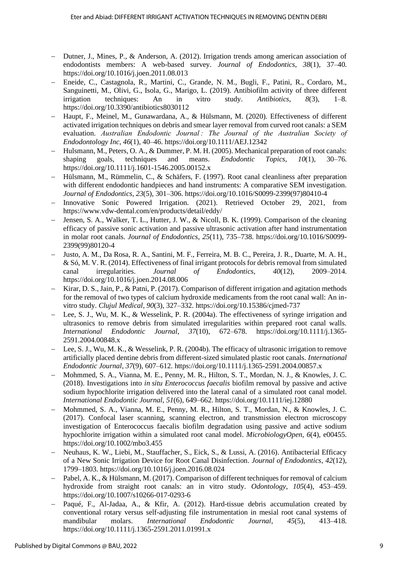- − Dutner, J., Mines, P., & Anderson, A. (2012). Irrigation trends among american association of endodontists members: A web-based survey. *Journal of Endodontics*, *38*(1), 37–40. https://doi.org/10.1016/j.joen.2011.08.013
- − Eneide, C., Castagnola, R., Martini, C., Grande, N. M., Bugli, F., Patini, R., Cordaro, M., Sanguinetti, M., Olivi, G., Isola, G., Marigo, L. (2019). Antibiofilm activity of three different irrigation techniques: An in vitro study. *Antibiotics*, *8*(3), 1–8. https://doi.org/10.3390/antibiotics8030112
- − Haupt, F., Meinel, M., Gunawardana, A., & Hülsmann, M. (2020). Effectiveness of different activated irrigation techniques on debris and smear layer removal from curved root canals: a SEM evaluation. *Australian Endodontic Journal : The Journal of the Australian Society of Endodontology Inc*, *46*(1), 40–46. https://doi.org/10.1111/AEJ.12342
- − Hulsmann, M., Peters, O. A., & Dummer, P. M. H. (2005). Mechanical preparation of root canals: shaping goals, techniques and means. *Endodontic Topics*, *10*(1), 30–76. https://doi.org/10.1111/j.1601-1546.2005.00152.x
- − Hülsmann, M., Rümmelin, C., & Schäfers, F. (1997). Root canal cleanliness after preparation with different endodontic handpieces and hand instruments: A comparative SEM investigation. *Journal of Endodontics*, *23*(5), 301–306. https://doi.org/10.1016/S0099-2399(97)80410-4
- − Innovative Sonic Powered Irrigation. (2021). Retrieved October 29, 2021, from https://www.vdw-dental.com/en/products/detail/eddy/
- − Jensen, S. A., Walker, T. L., Hutter, J. W., & Nicoll, B. K. (1999). Comparison of the cleaning efficacy of passive sonic activation and passive ultrasonic activation after hand instrumentation in molar root canals. *Journal of Endodontics*, *25*(11), 735–738. https://doi.org/10.1016/S0099- 2399(99)80120-4
- − Justo, A. M., Da Rosa, R. A., Santini, M. F., Ferreira, M. B. C., Pereira, J. R., Duarte, M. A. H., & Só, M. V. R. (2014). Effectiveness of final irrigant protocols for debris removal from simulated canal irregularities. *Journal of Endodontics*, *40*(12), 2009–2014. https://doi.org/10.1016/j.joen.2014.08.006
- − Kirar, D. S., Jain, P., & Patni, P. (2017). Comparison of different irrigation and agitation methods for the removal of two types of calcium hydroxide medicaments from the root canal wall: An invitro study. *Clujul Medical*, *90*(3), 327–332. https://doi.org/10.15386/cjmed-737
- Lee, S. J., Wu, M. K., & Wesselink, P. R. (2004a). The effectiveness of syringe irrigation and ultrasonics to remove debris from simulated irregularities within prepared root canal walls. *International Endodontic Journal*, *37*(10), 672–678. https://doi.org/10.1111/j.1365- 2591.2004.00848.x
- Lee, S. J., Wu, M. K., & Wesselink, P. R. (2004b). The efficacy of ultrasonic irrigation to remove artificially placed dentine debris from different-sized simulated plastic root canals. *International Endodontic Journal*, *37*(9), 607–612. https://doi.org/10.1111/j.1365-2591.2004.00857.x
- − Mohmmed, S. A., Vianna, M. E., Penny, M. R., Hilton, S. T., Mordan, N. J., & Knowles, J. C. (2018). Investigations into *in situ Enterococcus faecalis* biofilm removal by passive and active sodium hypochlorite irrigation delivered into the lateral canal of a simulated root canal model. *International Endodontic Journal*, *51*(6), 649–662. https://doi.org/10.1111/iej.12880
- − Mohmmed, S. A., Vianna, M. E., Penny, M. R., Hilton, S. T., Mordan, N., & Knowles, J. C. (2017). Confocal laser scanning, scanning electron, and transmission electron microscopy investigation of Enterococcus faecalis biofilm degradation using passive and active sodium hypochlorite irrigation within a simulated root canal model. *MicrobiologyOpen*, *6*(4), e00455. https://doi.org/10.1002/mbo3.455
- − Neuhaus, K. W., Liebi, M., Stauffacher, S., Eick, S., & Lussi, A. (2016). Antibacterial Efficacy of a New Sonic Irrigation Device for Root Canal Disinfection. *Journal of Endodontics*, *42*(12), 1799–1803. https://doi.org/10.1016/j.joen.2016.08.024
- − Pabel, A. K., & Hülsmann, M. (2017). Comparison of different techniques for removal of calcium hydroxide from straight root canals: an in vitro study. *Odontology*, *105*(4), 453–459. https://doi.org/10.1007/s10266-017-0293-6
- − Paqué, F., Al-Jadaa, A., & Kfir, A. (2012). Hard-tissue debris accumulation created by conventional rotary versus self-adjusting file instrumentation in mesial root canal systems of mandibular molars. *International Endodontic Journal*, *45*(5), 413–418. https://doi.org/10.1111/j.1365-2591.2011.01991.x